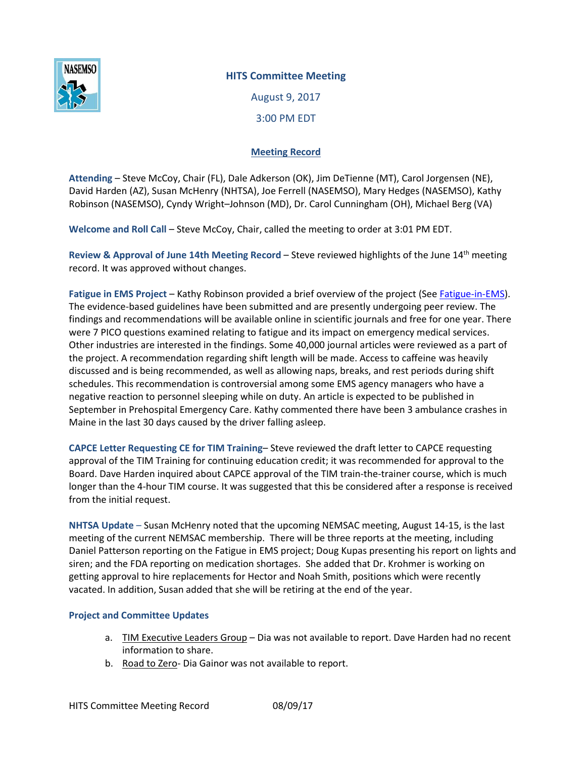

## **HITS Committee Meeting**

August 9, 2017 3:00 PM EDT

## **Meeting Record**

**Attending** – Steve McCoy, Chair (FL), Dale Adkerson (OK), Jim DeTienne (MT), Carol Jorgensen (NE), David Harden (AZ), Susan McHenry (NHTSA), Joe Ferrell (NASEMSO), Mary Hedges (NASEMSO), Kathy Robinson (NASEMSO), Cyndy Wright–Johnson (MD), Dr. Carol Cunningham (OH), Michael Berg (VA)

**Welcome and Roll Call** – Steve McCoy, Chair, called the meeting to order at 3:01 PM EDT.

**Review & Approval of June 14th Meeting Record** – Steve reviewed highlights of the June 14th meeting record. It was approved without changes.

Fatigue in EMS Project – Kathy Robinson provided a brief overview of the project (Se[e Fatigue-in-EMS\)](https://www.nasemso.org/Projects/Fatigue-in-EMS/index.asp). The evidence-based guidelines have been submitted and are presently undergoing peer review. The findings and recommendations will be available online in scientific journals and free for one year. There were 7 PICO questions examined relating to fatigue and its impact on emergency medical services. Other industries are interested in the findings. Some 40,000 journal articles were reviewed as a part of the project. A recommendation regarding shift length will be made. Access to caffeine was heavily discussed and is being recommended, as well as allowing naps, breaks, and rest periods during shift schedules. This recommendation is controversial among some EMS agency managers who have a negative reaction to personnel sleeping while on duty. An article is expected to be published in September in Prehospital Emergency Care. Kathy commented there have been 3 ambulance crashes in Maine in the last 30 days caused by the driver falling asleep.

**CAPCE Letter Requesting CE for TIM Training**– Steve reviewed the draft letter to CAPCE requesting approval of the TIM Training for continuing education credit; it was recommended for approval to the Board. Dave Harden inquired about CAPCE approval of the TIM train-the-trainer course, which is much longer than the 4-hour TIM course. It was suggested that this be considered after a response is received from the initial request.

**NHTSA Update** – Susan McHenry noted that the upcoming NEMSAC meeting, August 14-15, is the last meeting of the current NEMSAC membership. There will be three reports at the meeting, including Daniel Patterson reporting on the Fatigue in EMS project; Doug Kupas presenting his report on lights and siren; and the FDA reporting on medication shortages. She added that Dr. Krohmer is working on getting approval to hire replacements for Hector and Noah Smith, positions which were recently vacated. In addition, Susan added that she will be retiring at the end of the year.

## **Project and Committee Updates**

- a. TIM Executive Leaders Group Dia was not available to report. Dave Harden had no recent information to share.
- b. Road to Zero- Dia Gainor was not available to report.